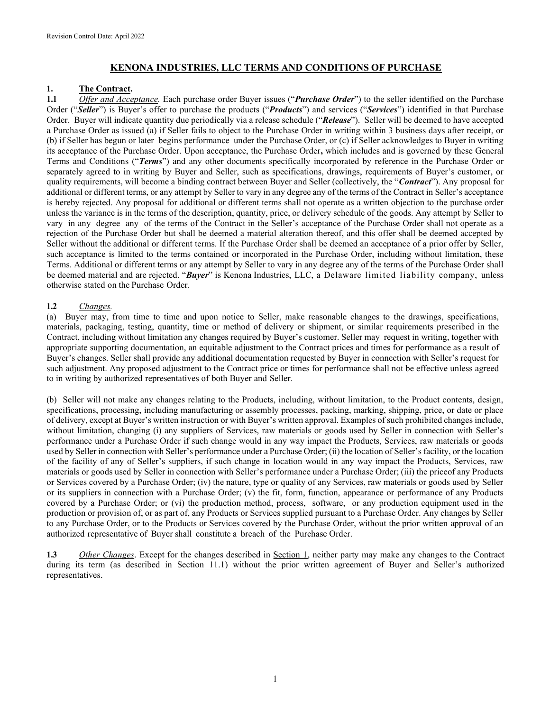# KENONA INDUSTRIES, LLC TERMS AND CONDITIONS OF PURCHASE

## 1. The Contract.

1.1 Offer and Acceptance. Each purchase order Buyer issues ("Purchase Order") to the seller identified on the Purchase Order ("Seller") is Buyer's offer to purchase the products ("Products") and services ("Services") identified in that Purchase Order. Buyer will indicate quantity due periodically via a release schedule ("Release"). Seller will be deemed to have accepted a Purchase Order as issued (a) if Seller fails to object to the Purchase Order in writing within 3 business days after receipt, or (b) if Seller has begun or later begins performance under the Purchase Order, or (c) if Seller acknowledges to Buyer in writing its acceptance of the Purchase Order. Upon acceptance, the Purchase Order, which includes and is governed by these General Terms and Conditions ("Terms") and any other documents specifically incorporated by reference in the Purchase Order or separately agreed to in writing by Buyer and Seller, such as specifications, drawings, requirements of Buyer's customer, or quality requirements, will become a binding contract between Buyer and Seller (collectively, the "**Contract**"). Any proposal for additional or different terms, or any attempt by Seller to vary in any degree any of the terms of the Contract in Seller's acceptance is hereby rejected. Any proposal for additional or different terms shall not operate as a written objection to the purchase order unless the variance is in the terms of the description, quantity, price, or delivery schedule of the goods. Any attempt by Seller to vary in any degree any of the terms of the Contract in the Seller's acceptance of the Purchase Order shall not operate as a rejection of the Purchase Order but shall be deemed a material alteration thereof, and this offer shall be deemed accepted by Seller without the additional or different terms. If the Purchase Order shall be deemed an acceptance of a prior offer by Seller, such acceptance is limited to the terms contained or incorporated in the Purchase Order, including without limitation, these Terms. Additional or different terms or any attempt by Seller to vary in any degree any of the terms of the Purchase Order shall be deemed material and are rejected. "Buyer" is Kenona Industries, LLC, a Delaware limited liability company, unless otherwise stated on the Purchase Order.

# 1.2 Changes.

(a) Buyer may, from time to time and upon notice to Seller, make reasonable changes to the drawings, specifications, materials, packaging, testing, quantity, time or method of delivery or shipment, or similar requirements prescribed in the Contract, including without limitation any changes required by Buyer's customer. Seller may request in writing, together with appropriate supporting documentation, an equitable adjustment to the Contract prices and times for performance as a result of Buyer's changes. Seller shall provide any additional documentation requested by Buyer in connection with Seller's request for such adjustment. Any proposed adjustment to the Contract price or times for performance shall not be effective unless agreed to in writing by authorized representatives of both Buyer and Seller.

(b) Seller will not make any changes relating to the Products, including, without limitation, to the Product contents, design, specifications, processing, including manufacturing or assembly processes, packing, marking, shipping, price, or date or place of delivery, except at Buyer's written instruction or with Buyer's written approval. Examples of such prohibited changes include, without limitation, changing (i) any suppliers of Services, raw materials or goods used by Seller in connection with Seller's performance under a Purchase Order if such change would in any way impact the Products, Services, raw materials or goods used by Seller in connection with Seller's performance under a Purchase Order; (ii) the location of Seller's facility, or the location of the facility of any of Seller's suppliers, if such change in location would in any way impact the Products, Services, raw materials or goods used by Seller in connection with Seller's performance under a Purchase Order; (iii) the price of any Products or Services covered by a Purchase Order; (iv) the nature, type or quality of any Services, raw materials or goods used by Seller or its suppliers in connection with a Purchase Order; (v) the fit, form, function, appearance or performance of any Products covered by a Purchase Order; or (vi) the production method, process, software, or any production equipment used in the production or provision of, or as part of, any Products or Services supplied pursuant to a Purchase Order. Any changes by Seller to any Purchase Order, or to the Products or Services covered by the Purchase Order, without the prior written approval of an authorized representative of Buyer shall constitute a breach of the Purchase Order.

1.3 Other Changes. Except for the changes described in Section 1, neither party may make any changes to the Contract during its term (as described in Section 11.1) without the prior written agreement of Buyer and Seller's authorized representatives.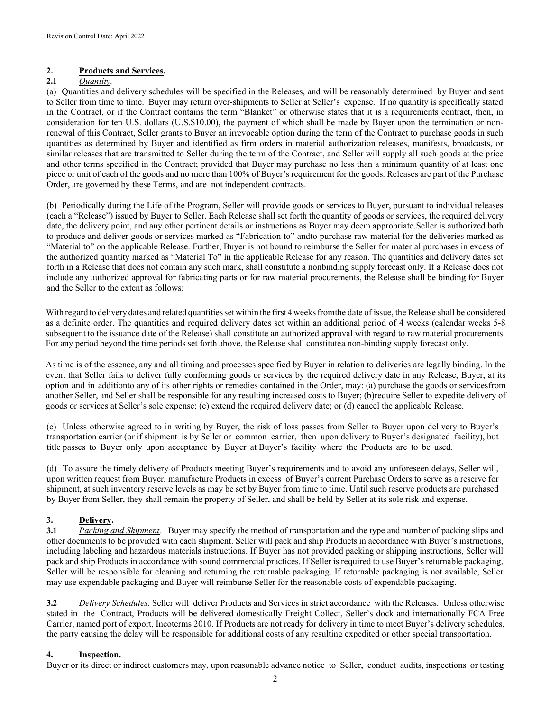# 2. Products and Services.

# 2.1 Ouantity.

(a) Quantities and delivery schedules will be specified in the Releases, and will be reasonably determined by Buyer and sent to Seller from time to time. Buyer may return over-shipments to Seller at Seller's expense. If no quantity is specifically stated in the Contract, or if the Contract contains the term "Blanket" or otherwise states that it is a requirements contract, then, in consideration for ten U.S. dollars (U.S.\$10.00), the payment of which shall be made by Buyer upon the termination or nonrenewal of this Contract, Seller grants to Buyer an irrevocable option during the term of the Contract to purchase goods in such quantities as determined by Buyer and identified as firm orders in material authorization releases, manifests, broadcasts, or similar releases that are transmitted to Seller during the term of the Contract, and Seller will supply all such goods at the price and other terms specified in the Contract; provided that Buyer may purchase no less than a minimum quantity of at least one piece or unit of each of the goods and no more than 100% of Buyer's requirement for the goods. Releases are part of the Purchase Order, are governed by these Terms, and are not independent contracts.

(b) Periodically during the Life of the Program, Seller will provide goods or services to Buyer, pursuant to individual releases (each a "Release") issued by Buyer to Seller. Each Release shall set forth the quantity of goods or services, the required delivery date, the delivery point, and any other pertinent details or instructions as Buyer may deem appropriate. Seller is authorized both to produce and deliver goods or services marked as "Fabrication to" and to purchase raw material for the deliveries marked as "Material to" on the applicable Release. Further, Buyer is not bound to reimburse the Seller for material purchases in excess of the authorized quantity marked as "Material To" in the applicable Release for any reason. The quantities and delivery dates set forth in a Release that does not contain any such mark, shall constitute a nonbinding supply forecast only. If a Release does not include any authorized approval for fabricating parts or for raw material procurements, the Release shall be binding for Buyer and the Seller to the extent as follows:

With regard to delivery dates and related quantities set within the first 4 weeks from the date of issue, the Release shall be considered as a definite order. The quantities and required delivery dates set within an additional period of 4 weeks (calendar weeks 5-8 subsequent to the issuance date of the Release) shall constitute an authorized approval with regard to raw material procurements. For any period beyond the time periods set forth above, the Release shall constitute a non-binding supply forecast only.

As time is of the essence, any and all timing and processes specified by Buyer in relation to deliveries are legally binding. In the event that Seller fails to deliver fully conforming goods or services by the required delivery date in any Release, Buyer, at its option and in additionto any of its other rights or remedies contained in the Order, may: (a) purchase the goods or services from another Seller, and Seller shall be responsible for any resulting increased costs to Buyer; (b) require Seller to expedite delivery of goods or services at Seller's sole expense; (c) extend the required delivery date; or (d) cancel the applicable Release.

(c) Unless otherwise agreed to in writing by Buyer, the risk of loss passes from Seller to Buyer upon delivery to Buyer's transportation carrier (or if shipment is by Seller or common carrier, then upon delivery to Buyer's designated facility), but title passes to Buyer only upon acceptance by Buyer at Buyer's facility where the Products are to be used.

(d) To assure the timely delivery of Products meeting Buyer's requirements and to avoid any unforeseen delays, Seller will, upon written request from Buyer, manufacture Products in excess of Buyer's current Purchase Orders to serve as a reserve for shipment, at such inventory reserve levels as may be set by Buyer from time to time. Until such reserve products are purchased by Buyer from Seller, they shall remain the property of Seller, and shall be held by Seller at its sole risk and expense.

## 3. Delivery.

3.1 Packing and Shipment. Buyer may specify the method of transportation and the type and number of packing slips and other documents to be provided with each shipment. Seller will pack and ship Products in accordance with Buyer's instructions, including labeling and hazardous materials instructions. If Buyer has not provided packing or shipping instructions, Seller will pack and ship Products in accordance with sound commercial practices. If Seller is required to use Buyer's returnable packaging, Seller will be responsible for cleaning and returning the returnable packaging. If returnable packaging is not available, Seller may use expendable packaging and Buyer will reimburse Seller for the reasonable costs of expendable packaging.

3.2 Delivery Schedules. Seller will deliver Products and Services in strict accordance with the Releases. Unless otherwise stated in the Contract, Products will be delivered domestically Freight Collect, Seller's dock and internationally FCA Free Carrier, named port of export, Incoterms 2010. If Products are not ready for delivery in time to meet Buyer's delivery schedules, the party causing the delay will be responsible for additional costs of any resulting expedited or other special transportation.

## 4. Inspection.

Buyer or its direct or indirect customers may, upon reasonable advance notice to Seller, conduct audits, inspections or testing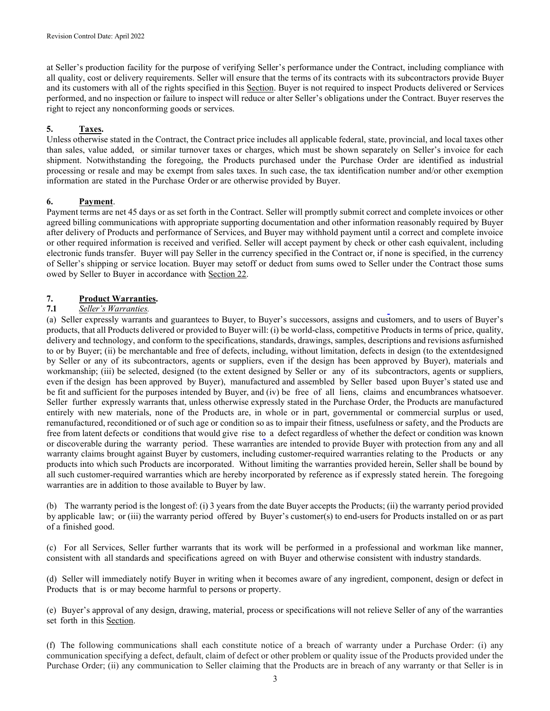at Seller's production facility for the purpose of verifying Seller's performance under the Contract, including compliance with all quality, cost or delivery requirements. Seller will ensure that the terms of its contracts with its subcontractors provide Buyer and its customers with all of the rights specified in this Section. Buyer is not required to inspect Products delivered or Services performed, and no inspection or failure to inspect will reduce or alter Seller's obligations under the Contract. Buyer reserves the right to reject any nonconforming goods or services.

# 5. Taxes.

Unless otherwise stated in the Contract, the Contract price includes all applicable federal, state, provincial, and local taxes other than sales, value added, or similar turnover taxes or charges, which must be shown separately on Seller's invoice for each shipment. Notwithstanding the foregoing, the Products purchased under the Purchase Order are identified as industrial processing or resale and may be exempt from sales taxes. In such case, the tax identification number and/or other exemption information are stated in the Purchase Order or are otherwise provided by Buyer.

## 6. Payment.

Payment terms are net 45 days or as set forth in the Contract. Seller will promptly submit correct and complete invoices or other agreed billing communications with appropriate supporting documentation and other information reasonably required by Buyer after delivery of Products and performance of Services, and Buyer may withhold payment until a correct and complete invoice or other required information is received and verified. Seller will accept payment by check or other cash equivalent, including electronic funds transfer. Buyer will pay Seller in the currency specified in the Contract or, if none is specified, in the currency of Seller's shipping or service location. Buyer may setoff or deduct from sums owed to Seller under the Contract those sums owed by Seller to Buyer in accordance with Section 22.

# 7. Product Warranties.

## 7.1 Seller's Warranties.

(a) Seller expressly warrants and guarantees to Buyer, to Buyer's successors, assigns and customers, and to users of Buyer's products, that all Products delivered or provided to Buyer will: (i) be world-class, competitive Products in terms of price, quality, delivery and technology, and conform to the specifications, standards, drawings, samples, descriptions and revisions as furnished to or by Buyer; (ii) be merchantable and free of defects, including, without limitation, defects in design (to the extent designed by Seller or any of its subcontractors, agents or suppliers, even if the design has been approved by Buyer), materials and workmanship; (iii) be selected, designed (to the extent designed by Seller or any of its subcontractors, agents or suppliers, even if the design has been approved by Buyer), manufactured and assembled by Seller based upon Buyer's stated use and be fit and sufficient for the purposes intended by Buyer, and (iv) be free of all liens, claims and encumbrances whatsoever. Seller further expressly warrants that, unless otherwise expressly stated in the Purchase Order, the Products are manufactured entirely with new materials, none of the Products are, in whole or in part, governmental or commercial surplus or used, remanufactured, reconditioned or of such age or condition so as to impair their fitness, usefulness or safety, and the Products are free from latent defects or conditions that would give rise to a defect regardless of whether the defect or condition was known or discoverable during the warranty period. These warranties are intended to provide Buyer with protection from any and all warranty claims brought against Buyer by customers, including customer-required warranties relating to the Products or any products into which such Products are incorporated. Without limiting the warranties provided herein, Seller shall be bound by all such customer-required warranties which are hereby incorporated by reference as if expressly stated herein. The foregoing warranties are in addition to those available to Buyer by law.

(b) The warranty period is the longest of: (i) 3 years from the date Buyer accepts the Products; (ii) the warranty period provided by applicable law; or (iii) the warranty period offered by Buyer's customer(s) to end-users for Products installed on or as part of a finished good.

(c) For all Services, Seller further warrants that its work will be performed in a professional and workman like manner, consistent with all standards and specifications agreed on with Buyer and otherwise consistent with industry standards.

(d) Seller will immediately notify Buyer in writing when it becomes aware of any ingredient, component, design or defect in Products that is or may become harmful to persons or property.

(e) Buyer's approval of any design, drawing, material, process or specifications will not relieve Seller of any of the warranties set forth in this Section.

(f) The following communications shall each constitute notice of a breach of warranty under a Purchase Order: (i) any communication specifying a defect, default, claim of defect or other problem or quality issue of the Products provided under the Purchase Order; (ii) any communication to Seller claiming that the Products are in breach of any warranty or that Seller is in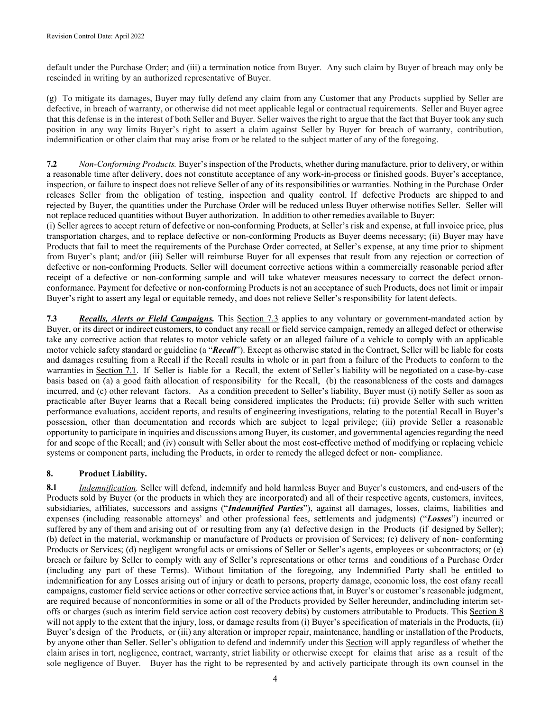default under the Purchase Order; and (iii) a termination notice from Buyer. Any such claim by Buyer of breach may only be rescinded in writing by an authorized representative of Buyer.

(g) To mitigate its damages, Buyer may fully defend any claim from any Customer that any Products supplied by Seller are defective, in breach of warranty, or otherwise did not meet applicable legal or contractual requirements. Seller and Buyer agree that this defense is in the interest of both Seller and Buyer. Seller waives the right to argue that the fact that Buyer took any such position in any way limits Buyer's right to assert a claim against Seller by Buyer for breach of warranty, contribution, indemnification or other claim that may arise from or be related to the subject matter of any of the foregoing.

7.2 Non-Conforming Products. Buyer's inspection of the Products, whether during manufacture, prior to delivery, or within a reasonable time after delivery, does not constitute acceptance of any work-in-process or finished goods. Buyer's acceptance, inspection, or failure to inspect does not relieve Seller of any of its responsibilities or warranties. Nothing in the Purchase Order releases Seller from the obligation of testing, inspection and quality control. If defective Products are shipped to and rejected by Buyer, the quantities under the Purchase Order will be reduced unless Buyer otherwise notifies Seller. Seller will not replace reduced quantities without Buyer authorization. In addition to other remedies available to Buyer:

(i) Seller agrees to accept return of defective or non-conforming Products, at Seller's risk and expense, at full invoice price, plus transportation charges, and to replace defective or non-conforming Products as Buyer deems necessary; (ii) Buyer may have Products that fail to meet the requirements of the Purchase Order corrected, at Seller's expense, at any time prior to shipment from Buyer's plant; and/or (iii) Seller will reimburse Buyer for all expenses that result from any rejection or correction of defective or non-conforming Products. Seller will document corrective actions within a commercially reasonable period after receipt of a defective or non-conforming sample and will take whatever measures necessary to correct the defect or nonconformance. Payment for defective or non-conforming Products is not an acceptance of such Products, does not limit or impair Buyer's right to assert any legal or equitable remedy, and does not relieve Seller's responsibility for latent defects.

7.3 Recalls, Alerts or Field Campaigns. This Section 7.3 applies to any voluntary or government-mandated action by Buyer, or its direct or indirect customers, to conduct any recall or field service campaign, remedy an alleged defect or otherwise take any corrective action that relates to motor vehicle safety or an alleged failure of a vehicle to comply with an applicable motor vehicle safety standard or guideline (a "Recall"). Except as otherwise stated in the Contract, Seller will be liable for costs and damages resulting from a Recall if the Recall results in whole or in part from a failure of the Products to conform to the warranties in Section 7.1. If Seller is liable for a Recall, the extent of Seller's liability will be negotiated on a case-by-case basis based on (a) a good faith allocation of responsibility for the Recall, (b) the reasonableness of the costs and damages incurred, and (c) other relevant factors. As a condition precedent to Seller's liability, Buyer must (i) notify Seller as soon as practicable after Buyer learns that a Recall being considered implicates the Products; (ii) provide Seller with such written performance evaluations, accident reports, and results of engineering investigations, relating to the potential Recall in Buyer's possession, other than documentation and records which are subject to legal privilege; (iii) provide Seller a reasonable opportunity to participate in inquiries and discussions among Buyer, its customer, and governmental agencies regarding the need for and scope of the Recall; and (iv) consult with Seller about the most cost-effective method of modifying or replacing vehicle systems or component parts, including the Products, in order to remedy the alleged defect or non- compliance.

# 8. Product Liability.

8.1 Indemnification. Seller will defend, indemnify and hold harmless Buyer and Buyer's customers, and end-users of the Products sold by Buyer (or the products in which they are incorporated) and all of their respective agents, customers, invitees, subsidiaries, affiliates, successors and assigns ("Indemnified Parties"), against all damages, losses, claims, liabilities and expenses (including reasonable attorneys' and other professional fees, settlements and judgments) ("Losses") incurred or suffered by any of them and arising out of or resulting from any (a) defective design in the Products (if designed by Seller); (b) defect in the material, workmanship or manufacture of Products or provision of Services; (c) delivery of non- conforming Products or Services; (d) negligent wrongful acts or omissions of Seller or Seller's agents, employees or subcontractors; or (e) breach or failure by Seller to comply with any of Seller's representations or other terms and conditions of a Purchase Order (including any part of these Terms). Without limitation of the foregoing, any Indemnified Party shall be entitled to indemnification for any Losses arising out of injury or death to persons, property damage, economic loss, the cost of any recall campaigns, customer field service actions or other corrective service actions that, in Buyer's or customer's reasonable judgment, are required because of nonconformities in some or all of the Products provided by Seller hereunder, and including interim setoffs or charges (such as interim field service action cost recovery debits) by customers attributable to Products. This Section 8 will not apply to the extent that the injury, loss, or damage results from (i) Buyer's specification of materials in the Products, (ii) Buyer's design of the Products, or (iii) any alteration or improper repair, maintenance, handling or installation of the Products, by anyone other than Seller. Seller's obligation to defend and indemnify under this Section will apply regardless of whether the claim arises in tort, negligence, contract, warranty, strict liability or otherwise except for claims that arise as a result of the sole negligence of Buyer. Buyer has the right to be represented by and actively participate through its own counsel in the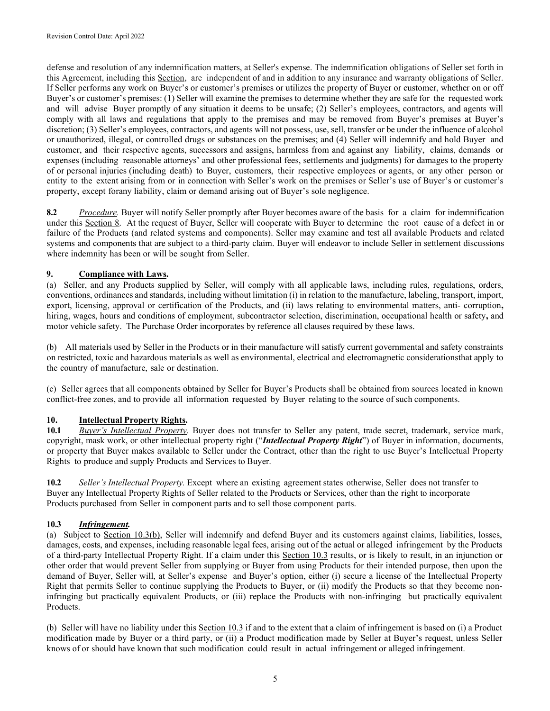defense and resolution of any indemnification matters, at Seller's expense. The indemnification obligations of Seller set forth in this Agreement, including this Section, are independent of and in addition to any insurance and warranty obligations of Seller. If Seller performs any work on Buyer's or customer's premises or utilizes the property of Buyer or customer, whether on or off Buyer's or customer's premises: (1) Seller will examine the premises to determine whether they are safe for the requested work and will advise Buyer promptly of any situation it deems to be unsafe; (2) Seller's employees, contractors, and agents will comply with all laws and regulations that apply to the premises and may be removed from Buyer's premises at Buyer's discretion; (3) Seller's employees, contractors, and agents will not possess, use, sell, transfer or be under the influence of alcohol or unauthorized, illegal, or controlled drugs or substances on the premises; and (4) Seller will indemnify and hold Buyer and customer, and their respective agents, successors and assigns, harmless from and against any liability, claims, demands or expenses (including reasonable attorneys' and other professional fees, settlements and judgments) for damages to the property of or personal injuries (including death) to Buyer, customers, their respective employees or agents, or any other person or entity to the extent arising from or in connection with Seller's work on the premises or Seller's use of Buyer's or customer's property, except for any liability, claim or demand arising out of Buyer's sole negligence.

8.2 Procedure. Buyer will notify Seller promptly after Buyer becomes aware of the basis for a claim for indemnification under this Section 8. At the request of Buyer, Seller will cooperate with Buyer to determine the root cause of a defect in or failure of the Products (and related systems and components). Seller may examine and test all available Products and related systems and components that are subject to a third-party claim. Buyer will endeavor to include Seller in settlement discussions where indemnity has been or will be sought from Seller.

# 9. Compliance with Laws.

(a) Seller, and any Products supplied by Seller, will comply with all applicable laws, including rules, regulations, orders, conventions, ordinances and standards, including without limitation (i) in relation to the manufacture, labeling, transport, import, export, licensing, approval or certification of the Products, and (ii) laws relating to environmental matters, anti- corruption, hiring, wages, hours and conditions of employment, subcontractor selection, discrimination, occupational health or safety, and motor vehicle safety. The Purchase Order incorporates by reference all clauses required by these laws.

(b) All materials used by Seller in the Products or in their manufacture will satisfy current governmental and safety constraints on restricted, toxic and hazardous materials as well as environmental, electrical and electromagnetic considerations that apply to the country of manufacture, sale or destination.

(c) Seller agrees that all components obtained by Seller for Buyer's Products shall be obtained from sources located in known conflict-free zones, and to provide all information requested by Buyer relating to the source of such components.

# 10. **Intellectual Property Rights.**

10.1 Buyer's Intellectual Property. Buyer does not transfer to Seller any patent, trade secret, trademark, service mark, copyright, mask work, or other intellectual property right ("Intellectual Property Right") of Buyer in information, documents, or property that Buyer makes available to Seller under the Contract, other than the right to use Buyer's Intellectual Property Rights to produce and supply Products and Services to Buyer.

10.2 Seller's Intellectual Property. Except where an existing agreement states otherwise, Seller does not transfer to Buyer any Intellectual Property Rights of Seller related to the Products or Services, other than the right to incorporate Products purchased from Seller in component parts and to sell those component parts.

## 10.3 Infringement.

(a) Subject to Section 10.3(b), Seller will indemnify and defend Buyer and its customers against claims, liabilities, losses, damages, costs, and expenses, including reasonable legal fees, arising out of the actual or alleged infringement by the Products of a third-party Intellectual Property Right. If a claim under this Section 10.3 results, or is likely to result, in an injunction or other order that would prevent Seller from supplying or Buyer from using Products for their intended purpose, then upon the demand of Buyer, Seller will, at Seller's expense and Buyer's option, either (i) secure a license of the Intellectual Property Right that permits Seller to continue supplying the Products to Buyer, or (ii) modify the Products so that they become noninfringing but practically equivalent Products, or (iii) replace the Products with non-infringing but practically equivalent Products.

(b) Seller will have no liability under this Section 10.3 if and to the extent that a claim of infringement is based on (i) a Product modification made by Buyer or a third party, or (ii) a Product modification made by Seller at Buyer's request, unless Seller knows of or should have known that such modification could result in actual infringement or alleged infringement.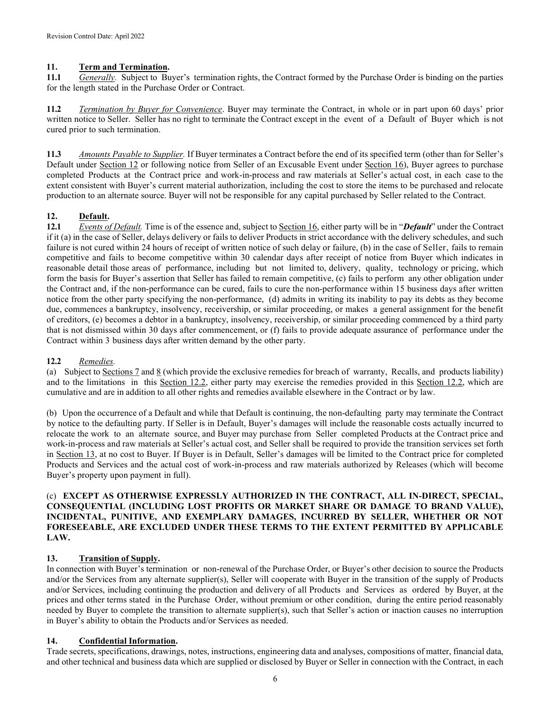## 11. Term and Termination.

11.1 Generally. Subject to Buyer's termination rights, the Contract formed by the Purchase Order is binding on the parties for the length stated in the Purchase Order or Contract.

11.2 Termination by Buyer for Convenience. Buyer may terminate the Contract, in whole or in part upon 60 days' prior written notice to Seller. Seller has no right to terminate the Contract except in the event of a Default of Buyer which is not cured prior to such termination.

11.3 Amounts Payable to Supplier. If Buyer terminates a Contract before the end of its specified term (other than for Seller's Default under Section 12 or following notice from Seller of an Excusable Event under Section 16), Buyer agrees to purchase completed Products at the Contract price and work-in-process and raw materials at Seller's actual cost, in each case to the extent consistent with Buyer's current material authorization, including the cost to store the items to be purchased and relocate production to an alternate source. Buyer will not be responsible for any capital purchased by Seller related to the Contract.

# 12. Default.

12.1 Events of Default. Time is of the essence and, subject to Section 16, either party will be in "Default" under the Contract if it (a) in the case of Seller, delays delivery or fails to deliver Products in strict accordance with the delivery schedules, and such failure is not cured within 24 hours of receipt of written notice of such delay or failure, (b) in the case of Seller, fails to remain competitive and fails to become competitive within 30 calendar days after receipt of notice from Buyer which indicates in reasonable detail those areas of performance, including but not limited to, delivery, quality, technology or pricing, which form the basis for Buyer's assertion that Seller has failed to remain competitive, (c) fails to perform any other obligation under the Contract and, if the non-performance can be cured, fails to cure the non-performance within 15 business days after written notice from the other party specifying the non-performance, (d) admits in writing its inability to pay its debts as they become due, commences a bankruptcy, insolvency, receivership, or similar proceeding, or makes a general assignment for the benefit of creditors, (e) becomes a debtor in a bankruptcy, insolvency, receivership, or similar proceeding commenced by a third party that is not dismissed within 30 days after commencement, or (f) fails to provide adequate assurance of performance under the Contract within 3 business days after written demand by the other party.

## 12.2 Remedies.

(a) Subject to Sections 7 and 8 (which provide the exclusive remedies for breach of warranty, Recalls, and products liability) and to the limitations in this Section 12.2, either party may exercise the remedies provided in this Section 12.2, which are cumulative and are in addition to all other rights and remedies available elsewhere in the Contract or by law.

(b) Upon the occurrence of a Default and while that Default is continuing, the non-defaulting party may terminate the Contract by notice to the defaulting party. If Seller is in Default, Buyer's damages will include the reasonable costs actually incurred to relocate the work to an alternate source, and Buyer may purchase from Seller completed Products at the Contract price and work-in-process and raw materials at Seller's actual cost, and Seller shall be required to provide the transition services set forth in Section 13, at no cost to Buyer. If Buyer is in Default, Seller's damages will be limited to the Contract price for completed Products and Services and the actual cost of work-in-process and raw materials authorized by Releases (which will become Buyer's property upon payment in full).

## (c) EXCEPT AS OTHERWISE EXPRESSLY AUTHORIZED IN THE CONTRACT, ALL IN-DIRECT, SPECIAL, CONSEQUENTIAL (INCLUDING LOST PROFITS OR MARKET SHARE OR DAMAGE TO BRAND VALUE), INCIDENTAL, PUNITIVE, AND EXEMPLARY DAMAGES, INCURRED BY SELLER, WHETHER OR NOT FORESEEABLE, ARE EXCLUDED UNDER THESE TERMS TO THE EXTENT PERMITTED BY APPLICABLE LAW.

# 13. Transition of Supply.

In connection with Buyer's termination or non-renewal of the Purchase Order, or Buyer's other decision to source the Products and/or the Services from any alternate supplier(s), Seller will cooperate with Buyer in the transition of the supply of Products and/or Services, including continuing the production and delivery of all Products and Services as ordered by Buyer, at the prices and other terms stated in the Purchase Order, without premium or other condition, during the entire period reasonably needed by Buyer to complete the transition to alternate supplier(s), such that Seller's action or inaction causes no interruption in Buyer's ability to obtain the Products and/or Services as needed.

## 14. Confidential Information.

Trade secrets, specifications, drawings, notes, instructions, engineering data and analyses, compositions of matter, financial data, and other technical and business data which are supplied or disclosed by Buyer or Seller in connection with the Contract, in each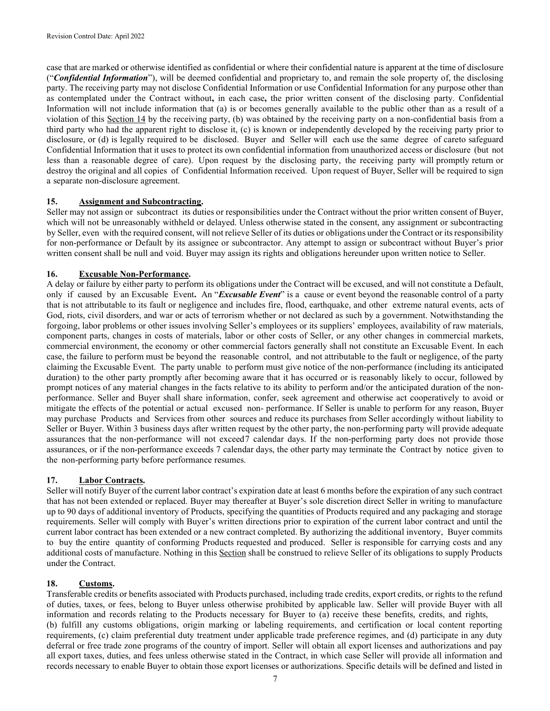case that are marked or otherwise identified as confidential or where their confidential nature is apparent at the time of disclosure ("Confidential Information"), will be deemed confidential and proprietary to, and remain the sole property of, the disclosing party. The receiving party may not disclose Confidential Information or use Confidential Information for any purpose other than as contemplated under the Contract without, in each case, the prior written consent of the disclosing party. Confidential Information will not include information that (a) is or becomes generally available to the public other than as a result of a violation of this Section 14 by the receiving party, (b) was obtained by the receiving party on a non-confidential basis from a third party who had the apparent right to disclose it, (c) is known or independently developed by the receiving party prior to disclosure, or (d) is legally required to be disclosed. Buyer and Seller will each use the same degree of careto safeguard Confidential Information that it uses to protect its own confidential information from unauthorized access or disclosure (but not less than a reasonable degree of care). Upon request by the disclosing party, the receiving party will promptly return or destroy the original and all copies of Confidential Information received. Upon request of Buyer, Seller will be required to sign a separate non-disclosure agreement.

## 15. Assignment and Subcontracting.

Seller may not assign or subcontract its duties or responsibilities under the Contract without the prior written consent of Buyer, which will not be unreasonably withheld or delayed. Unless otherwise stated in the consent, any assignment or subcontracting by Seller, even with the required consent, will not relieve Seller of its duties or obligations under the Contract or its responsibility for non-performance or Default by its assignee or subcontractor. Any attempt to assign or subcontract without Buyer's prior written consent shall be null and void. Buyer may assign its rights and obligations hereunder upon written notice to Seller.

# 16. Excusable Non-Performance.

A delay or failure by either party to perform its obligations under the Contract will be excused, and will not constitute a Default, only if caused by an Excusable Event. An "Excusable Event" is a cause or event beyond the reasonable control of a party that is not attributable to its fault or negligence and includes fire, flood, earthquake, and other extreme natural events, acts of God, riots, civil disorders, and war or acts of terrorism whether or not declared as such by a government. Notwithstanding the forgoing, labor problems or other issues involving Seller's employees or its suppliers' employees, availability of raw materials, component parts, changes in costs of materials, labor or other costs of Seller, or any other changes in commercial markets, commercial environment, the economy or other commercial factors generally shall not constitute an Excusable Event. In each case, the failure to perform must be beyond the reasonable control, and not attributable to the fault or negligence, of the party claiming the Excusable Event. The party unable to perform must give notice of the non-performance (including its anticipated duration) to the other party promptly after becoming aware that it has occurred or is reasonably likely to occur, followed by prompt notices of any material changes in the facts relative to its ability to perform and/or the anticipated duration of the nonperformance. Seller and Buyer shall share information, confer, seek agreement and otherwise act cooperatively to avoid or mitigate the effects of the potential or actual excused non- performance. If Seller is unable to perform for any reason, Buyer may purchase Products and Services from other sources and reduce its purchases from Seller accordingly without liability to Seller or Buyer. Within 3 business days after written request by the other party, the non-performing party will provide adequate assurances that the non-performance will not exceed7 calendar days. If the non-performing party does not provide those assurances, or if the non-performance exceeds 7 calendar days, the other party may terminate the Contract by notice given to the non-performing party before performance resumes.

## 17. Labor Contracts.

Seller will notify Buyer of the current labor contract's expiration date at least 6 months before the expiration of any such contract that has not been extended or replaced. Buyer may thereafter at Buyer's sole discretion direct Seller in writing to manufacture up to 90 days of additional inventory of Products, specifying the quantities of Products required and any packaging and storage requirements. Seller will comply with Buyer's written directions prior to expiration of the current labor contract and until the current labor contract has been extended or a new contract completed. By authorizing the additional inventory, Buyer commits to buy the entire quantity of conforming Products requested and produced. Seller is responsible for carrying costs and any additional costs of manufacture. Nothing in this Section shall be construed to relieve Seller of its obligations to supply Products under the Contract.

## 18. Customs.

Transferable credits or benefits associated with Products purchased, including trade credits, export credits, or rights to the refund of duties, taxes, or fees, belong to Buyer unless otherwise prohibited by applicable law. Seller will provide Buyer with all information and records relating to the Products necessary for Buyer to (a) receive these benefits, credits, and rights, (b) fulfill any customs obligations, origin marking or labeling requirements, and certification or local content reporting requirements, (c) claim preferential duty treatment under applicable trade preference regimes, and (d) participate in any duty deferral or free trade zone programs of the country of import. Seller will obtain all export licenses and authorizations and pay all export taxes, duties, and fees unless otherwise stated in the Contract, in which case Seller will provide all information and records necessary to enable Buyer to obtain those export licenses or authorizations. Specific details will be defined and listed in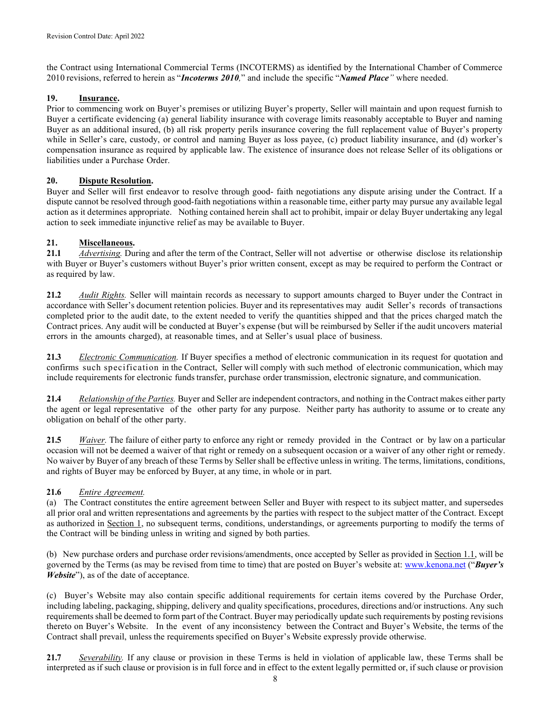the Contract using International Commercial Terms (INCOTERMS) as identified by the International Chamber of Commerce 2010 revisions, referred to herein as "Incoterms 2010," and include the specific "Named Place" where needed.

## 19. Insurance.

Prior to commencing work on Buyer's premises or utilizing Buyer's property, Seller will maintain and upon request furnish to Buyer a certificate evidencing (a) general liability insurance with coverage limits reasonably acceptable to Buyer and naming Buyer as an additional insured, (b) all risk property perils insurance covering the full replacement value of Buyer's property while in Seller's care, custody, or control and naming Buyer as loss payee, (c) product liability insurance, and (d) worker's compensation insurance as required by applicable law. The existence of insurance does not release Seller of its obligations or liabilities under a Purchase Order.

# 20. Dispute Resolution.

Buyer and Seller will first endeavor to resolve through good- faith negotiations any dispute arising under the Contract. If a dispute cannot be resolved through good-faith negotiations within a reasonable time, either party may pursue any available legal action as it determines appropriate. Nothing contained herein shall act to prohibit, impair or delay Buyer undertaking any legal action to seek immediate injunctive relief as may be available to Buyer.

# 21. Miscellaneous.

21.1 *Advertising*. During and after the term of the Contract, Seller will not advertise or otherwise disclose its relationship with Buyer or Buyer's customers without Buyer's prior written consent, except as may be required to perform the Contract or as required by law.

21.2 Audit Rights. Seller will maintain records as necessary to support amounts charged to Buyer under the Contract in accordance with Seller's document retention policies. Buyer and its representatives may audit Seller's records of transactions completed prior to the audit date, to the extent needed to verify the quantities shipped and that the prices charged match the Contract prices. Any audit will be conducted at Buyer's expense (but will be reimbursed by Seller if the audit uncovers material errors in the amounts charged), at reasonable times, and at Seller's usual place of business.

21.3 Electronic Communication. If Buyer specifies a method of electronic communication in its request for quotation and confirms such specification in the Contract, Seller will comply with such method of electronic communication, which may include requirements for electronic funds transfer, purchase order transmission, electronic signature, and communication.

21.4 Relationship of the Parties. Buyer and Seller are independent contractors, and nothing in the Contract makes either party the agent or legal representative of the other party for any purpose. Neither party has authority to assume or to create any obligation on behalf of the other party.

21.5 Waiver. The failure of either party to enforce any right or remedy provided in the Contract or by law on a particular occasion will not be deemed a waiver of that right or remedy on a subsequent occasion or a waiver of any other right or remedy. No waiver by Buyer of any breach of these Terms by Seller shall be effective unless in writing. The terms, limitations, conditions, and rights of Buyer may be enforced by Buyer, at any time, in whole or in part.

## 21.6 Entire Agreement.

(a) The Contract constitutes the entire agreement between Seller and Buyer with respect to its subject matter, and supersedes all prior oral and written representations and agreements by the parties with respect to the subject matter of the Contract. Except as authorized in Section 1, no subsequent terms, conditions, understandings, or agreements purporting to modify the terms of the Contract will be binding unless in writing and signed by both parties.

(b) New purchase orders and purchase order revisions/amendments, once accepted by Seller as provided in Section 1.1, will be governed by the Terms (as may be revised from time to time) that are posted on Buyer's website at: www.kenona.net ("Buyer's Website"), as of the date of acceptance.

(c) Buyer's Website may also contain specific additional requirements for certain items covered by the Purchase Order, including labeling, packaging, shipping, delivery and quality specifications, procedures, directions and/or instructions. Any such requirements shall be deemed to form part of the Contract. Buyer may periodically update such requirements by posting revisions thereto on Buyer's Website. In the event of any inconsistency between the Contract and Buyer's Website, the terms of the Contract shall prevail, unless the requirements specified on Buyer's Website expressly provide otherwise.

21.7 Severability. If any clause or provision in these Terms is held in violation of applicable law, these Terms shall be interpreted as if such clause or provision is in full force and in effect to the extent legally permitted or, if such clause or provision